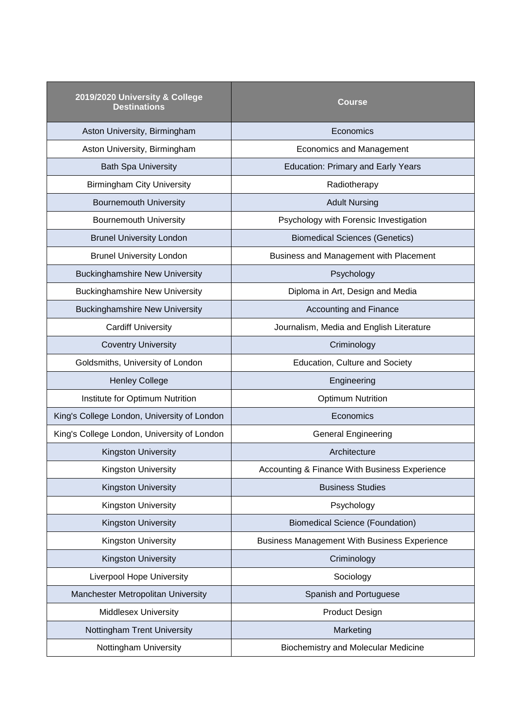| 2019/2020 University & College<br><b>Destinations</b> | Course                                              |
|-------------------------------------------------------|-----------------------------------------------------|
| Aston University, Birmingham                          | Economics                                           |
| Aston University, Birmingham                          | <b>Economics and Management</b>                     |
| <b>Bath Spa University</b>                            | <b>Education: Primary and Early Years</b>           |
| <b>Birmingham City University</b>                     | Radiotherapy                                        |
| <b>Bournemouth University</b>                         | <b>Adult Nursing</b>                                |
| <b>Bournemouth University</b>                         | Psychology with Forensic Investigation              |
| <b>Brunel University London</b>                       | <b>Biomedical Sciences (Genetics)</b>               |
| <b>Brunel University London</b>                       | Business and Management with Placement              |
| <b>Buckinghamshire New University</b>                 | Psychology                                          |
| <b>Buckinghamshire New University</b>                 | Diploma in Art, Design and Media                    |
| <b>Buckinghamshire New University</b>                 | <b>Accounting and Finance</b>                       |
| <b>Cardiff University</b>                             | Journalism, Media and English Literature            |
| <b>Coventry University</b>                            | Criminology                                         |
| Goldsmiths, University of London                      | Education, Culture and Society                      |
| <b>Henley College</b>                                 | Engineering                                         |
| Institute for Optimum Nutrition                       | <b>Optimum Nutrition</b>                            |
| King's College London, University of London           | Economics                                           |
| King's College London, University of London           | <b>General Engineering</b>                          |
| <b>Kingston University</b>                            | Architecture                                        |
| Kingston University                                   | Accounting & Finance With Business Experience       |
| <b>Kingston University</b>                            | <b>Business Studies</b>                             |
| Kingston University                                   | Psychology                                          |
| <b>Kingston University</b>                            | <b>Biomedical Science (Foundation)</b>              |
| Kingston University                                   | <b>Business Management With Business Experience</b> |
| Kingston University                                   | Criminology                                         |
| <b>Liverpool Hope University</b>                      | Sociology                                           |
| Manchester Metropolitan University                    | Spanish and Portuguese                              |
| <b>Middlesex University</b>                           | <b>Product Design</b>                               |
| Nottingham Trent University                           | Marketing                                           |
| Nottingham University                                 | <b>Biochemistry and Molecular Medicine</b>          |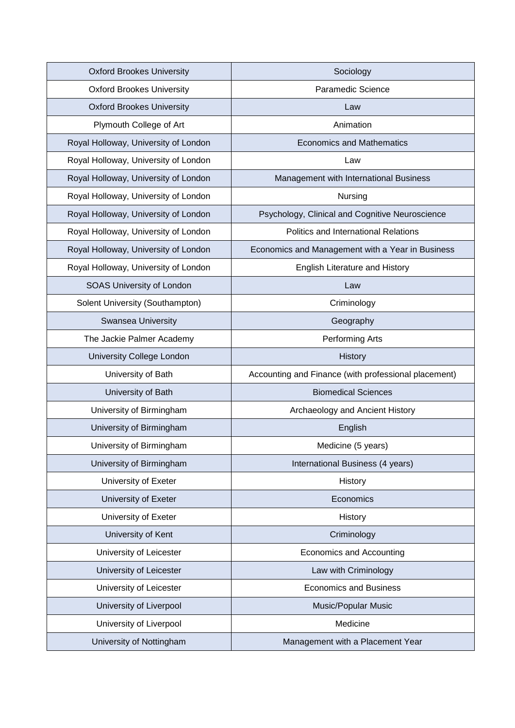| <b>Oxford Brookes University</b>     | Sociology                                            |
|--------------------------------------|------------------------------------------------------|
| <b>Oxford Brookes University</b>     | Paramedic Science                                    |
| <b>Oxford Brookes University</b>     | Law                                                  |
| Plymouth College of Art              | Animation                                            |
| Royal Holloway, University of London | <b>Economics and Mathematics</b>                     |
| Royal Holloway, University of London | Law                                                  |
| Royal Holloway, University of London | Management with International Business               |
| Royal Holloway, University of London | Nursing                                              |
| Royal Holloway, University of London | Psychology, Clinical and Cognitive Neuroscience      |
| Royal Holloway, University of London | Politics and International Relations                 |
| Royal Holloway, University of London | Economics and Management with a Year in Business     |
| Royal Holloway, University of London | English Literature and History                       |
| <b>SOAS University of London</b>     | Law                                                  |
| Solent University (Southampton)      | Criminology                                          |
| Swansea University                   | Geography                                            |
| The Jackie Palmer Academy            | Performing Arts                                      |
| University College London            | <b>History</b>                                       |
| University of Bath                   | Accounting and Finance (with professional placement) |
| University of Bath                   | <b>Biomedical Sciences</b>                           |
| University of Birmingham             | Archaeology and Ancient History                      |
| University of Birmingham             | English                                              |
| University of Birmingham             | Medicine (5 years)                                   |
| University of Birmingham             | International Business (4 years)                     |
| University of Exeter                 | History                                              |
| University of Exeter                 | Economics                                            |
| University of Exeter                 | History                                              |
| University of Kent                   | Criminology                                          |
| University of Leicester              | Economics and Accounting                             |
| University of Leicester              | Law with Criminology                                 |
| University of Leicester              | <b>Economics and Business</b>                        |
| University of Liverpool              | <b>Music/Popular Music</b>                           |
| University of Liverpool              | Medicine                                             |
| University of Nottingham             | Management with a Placement Year                     |